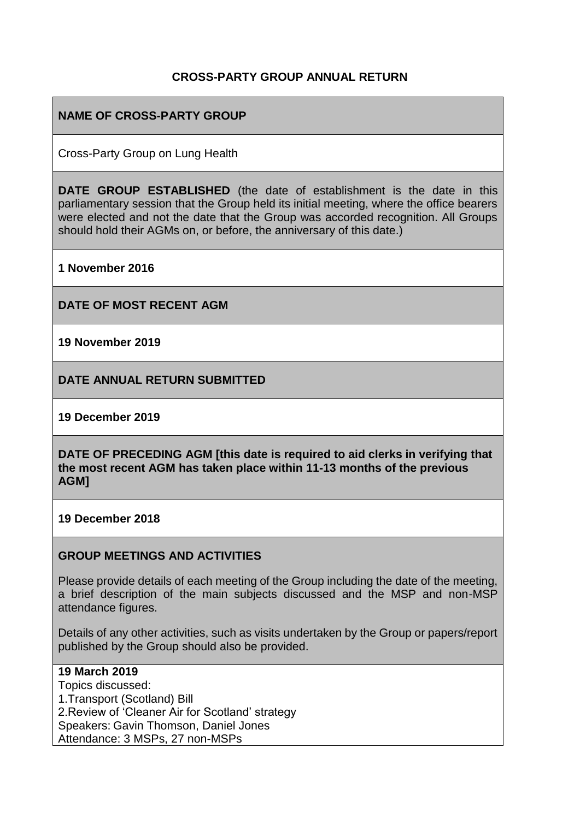## **CROSS-PARTY GROUP ANNUAL RETURN**

## **NAME OF CROSS-PARTY GROUP**

Cross-Party Group on Lung Health

**DATE GROUP ESTABLISHED** (the date of establishment is the date in this parliamentary session that the Group held its initial meeting, where the office bearers were elected and not the date that the Group was accorded recognition. All Groups should hold their AGMs on, or before, the anniversary of this date.)

**1 November 2016**

**DATE OF MOST RECENT AGM**

**19 November 2019**

**DATE ANNUAL RETURN SUBMITTED**

**19 December 2019**

**DATE OF PRECEDING AGM [this date is required to aid clerks in verifying that the most recent AGM has taken place within 11-13 months of the previous AGM]**

**19 December 2018**

### **GROUP MEETINGS AND ACTIVITIES**

Please provide details of each meeting of the Group including the date of the meeting, a brief description of the main subjects discussed and the MSP and non-MSP attendance figures.

Details of any other activities, such as visits undertaken by the Group or papers/report published by the Group should also be provided.

### **19 March 2019**

Topics discussed: 1.Transport (Scotland) Bill 2.Review of 'Cleaner Air for Scotland' strategy Speakers: Gavin Thomson, Daniel Jones Attendance: 3 MSPs, 27 non-MSPs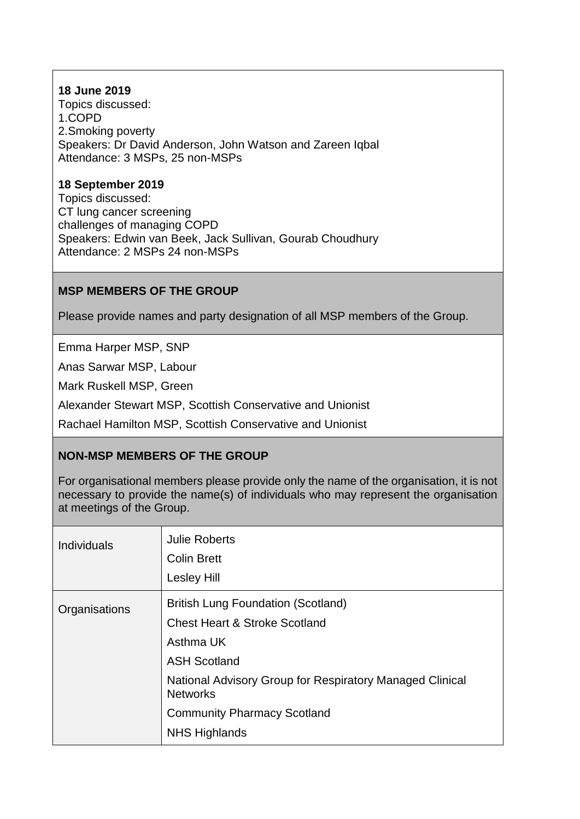## **18 June 2019**

Topics discussed: 1.COPD 2.Smoking poverty Speakers: Dr David Anderson, John Watson and Zareen Iqbal Attendance: 3 MSPs, 25 non-MSPs

## **18 September 2019**

Topics discussed: CT lung cancer screening challenges of managing COPD Speakers: Edwin van Beek, Jack Sullivan, Gourab Choudhury Attendance: 2 MSPs 24 non-MSPs

## **MSP MEMBERS OF THE GROUP**

Please provide names and party designation of all MSP members of the Group.

Emma Harper MSP, SNP

Anas Sarwar MSP, Labour

Mark Ruskell MSP, Green

Alexander Stewart MSP, Scottish Conservative and Unionist

Rachael Hamilton MSP, Scottish Conservative and Unionist

## **NON-MSP MEMBERS OF THE GROUP**

For organisational members please provide only the name of the organisation, it is not necessary to provide the name(s) of individuals who may represent the organisation at meetings of the Group.

| <b>Individuals</b> | <b>Julie Roberts</b><br><b>Colin Brett</b><br><b>Lesley Hill</b>                                                                                                                                                                                                       |
|--------------------|------------------------------------------------------------------------------------------------------------------------------------------------------------------------------------------------------------------------------------------------------------------------|
| Organisations      | <b>British Lung Foundation (Scotland)</b><br><b>Chest Heart &amp; Stroke Scotland</b><br>Asthma UK<br><b>ASH Scotland</b><br>National Advisory Group for Respiratory Managed Clinical<br><b>Networks</b><br><b>Community Pharmacy Scotland</b><br><b>NHS Highlands</b> |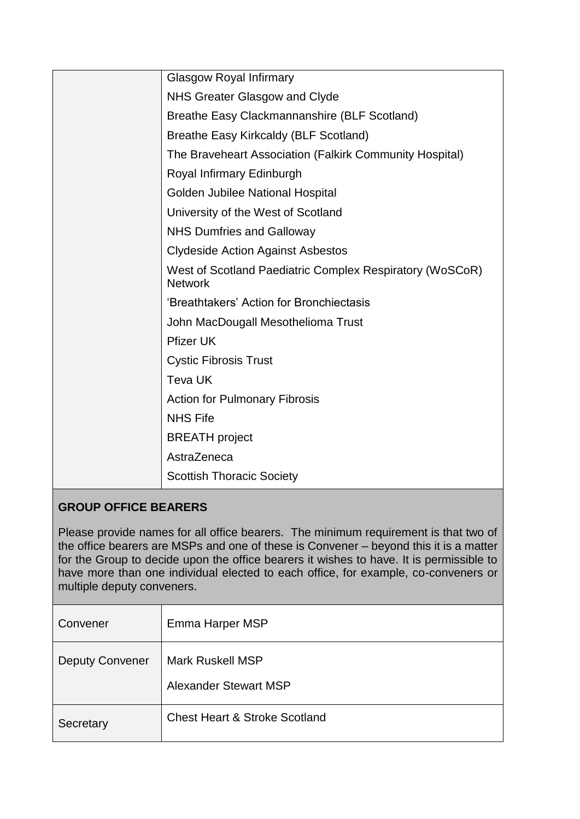| <b>Glasgow Royal Infirmary</b>                                             |
|----------------------------------------------------------------------------|
| NHS Greater Glasgow and Clyde                                              |
| Breathe Easy Clackmannanshire (BLF Scotland)                               |
| <b>Breathe Easy Kirkcaldy (BLF Scotland)</b>                               |
| The Braveheart Association (Falkirk Community Hospital)                    |
| Royal Infirmary Edinburgh                                                  |
| Golden Jubilee National Hospital                                           |
| University of the West of Scotland                                         |
| <b>NHS Dumfries and Galloway</b>                                           |
| <b>Clydeside Action Against Asbestos</b>                                   |
| West of Scotland Paediatric Complex Respiratory (WoSCoR)<br><b>Network</b> |
| 'Breathtakers' Action for Bronchiectasis                                   |
| John MacDougall Mesothelioma Trust                                         |
| <b>Pfizer UK</b>                                                           |
| <b>Cystic Fibrosis Trust</b>                                               |
| <b>Teva UK</b>                                                             |
| <b>Action for Pulmonary Fibrosis</b>                                       |
| <b>NHS Fife</b>                                                            |
| <b>BREATH</b> project                                                      |
| AstraZeneca                                                                |
| <b>Scottish Thoracic Society</b>                                           |

# **GROUP OFFICE BEARERS**

Please provide names for all office bearers. The minimum requirement is that two of the office bearers are MSPs and one of these is Convener – beyond this it is a matter for the Group to decide upon the office bearers it wishes to have. It is permissible to have more than one individual elected to each office, for example, co-conveners or multiple deputy conveners.

| Convener               | Emma Harper MSP                                         |
|------------------------|---------------------------------------------------------|
| <b>Deputy Convener</b> | <b>Mark Ruskell MSP</b><br><b>Alexander Stewart MSP</b> |
| Secretary              | <b>Chest Heart &amp; Stroke Scotland</b>                |